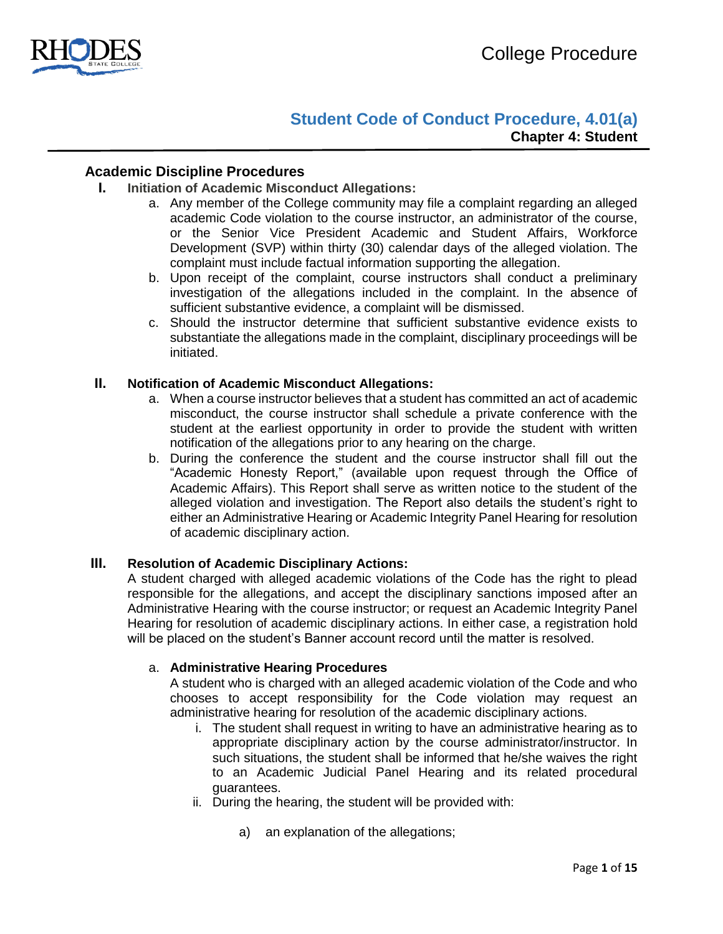

# **Student Code of Conduct Procedure, 4.01(a) Chapter 4: Student**

## **Academic Discipline Procedures**

- **I. Initiation of Academic Misconduct Allegations:** 
	- a. Any member of the College community may file a complaint regarding an alleged academic Code violation to the course instructor, an administrator of the course, or the Senior Vice President Academic and Student Affairs, Workforce Development (SVP) within thirty (30) calendar days of the alleged violation. The complaint must include factual information supporting the allegation.
	- b. Upon receipt of the complaint, course instructors shall conduct a preliminary investigation of the allegations included in the complaint. In the absence of sufficient substantive evidence, a complaint will be dismissed.
	- c. Should the instructor determine that sufficient substantive evidence exists to substantiate the allegations made in the complaint, disciplinary proceedings will be initiated.

## **II. Notification of Academic Misconduct Allegations:**

- a. When a course instructor believes that a student has committed an act of academic misconduct, the course instructor shall schedule a private conference with the student at the earliest opportunity in order to provide the student with written notification of the allegations prior to any hearing on the charge.
- b. During the conference the student and the course instructor shall fill out the "Academic Honesty Report," (available upon request through the Office of Academic Affairs). This Report shall serve as written notice to the student of the alleged violation and investigation. The Report also details the student's right to either an Administrative Hearing or Academic Integrity Panel Hearing for resolution of academic disciplinary action.

## **III. Resolution of Academic Disciplinary Actions:**

A student charged with alleged academic violations of the Code has the right to plead responsible for the allegations, and accept the disciplinary sanctions imposed after an Administrative Hearing with the course instructor; or request an Academic Integrity Panel Hearing for resolution of academic disciplinary actions. In either case, a registration hold will be placed on the student's Banner account record until the matter is resolved.

### a. **Administrative Hearing Procedures**

A student who is charged with an alleged academic violation of the Code and who chooses to accept responsibility for the Code violation may request an administrative hearing for resolution of the academic disciplinary actions.

- i. The student shall request in writing to have an administrative hearing as to appropriate disciplinary action by the course administrator/instructor. In such situations, the student shall be informed that he/she waives the right to an Academic Judicial Panel Hearing and its related procedural guarantees.
- ii. During the hearing, the student will be provided with:
	- a) an explanation of the allegations;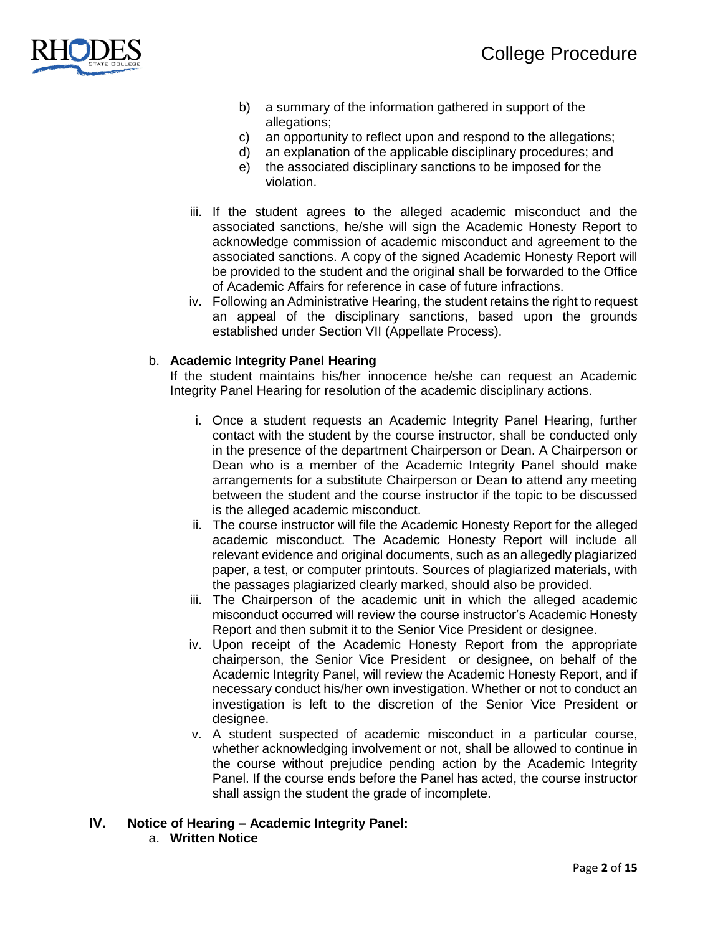

- b) a summary of the information gathered in support of the allegations;
- c) an opportunity to reflect upon and respond to the allegations;
- d) an explanation of the applicable disciplinary procedures; and
- e) the associated disciplinary sanctions to be imposed for the violation.
- iii. If the student agrees to the alleged academic misconduct and the associated sanctions, he/she will sign the Academic Honesty Report to acknowledge commission of academic misconduct and agreement to the associated sanctions. A copy of the signed Academic Honesty Report will be provided to the student and the original shall be forwarded to the Office of Academic Affairs for reference in case of future infractions.
- iv. Following an Administrative Hearing, the student retains the right to request an appeal of the disciplinary sanctions, based upon the grounds established under Section VII (Appellate Process).

#### b. **Academic Integrity Panel Hearing**

If the student maintains his/her innocence he/she can request an Academic Integrity Panel Hearing for resolution of the academic disciplinary actions.

- i. Once a student requests an Academic Integrity Panel Hearing, further contact with the student by the course instructor, shall be conducted only in the presence of the department Chairperson or Dean. A Chairperson or Dean who is a member of the Academic Integrity Panel should make arrangements for a substitute Chairperson or Dean to attend any meeting between the student and the course instructor if the topic to be discussed is the alleged academic misconduct.
- ii. The course instructor will file the Academic Honesty Report for the alleged academic misconduct. The Academic Honesty Report will include all relevant evidence and original documents, such as an allegedly plagiarized paper, a test, or computer printouts. Sources of plagiarized materials, with the passages plagiarized clearly marked, should also be provided.
- iii. The Chairperson of the academic unit in which the alleged academic misconduct occurred will review the course instructor's Academic Honesty Report and then submit it to the Senior Vice President or designee.
- iv. Upon receipt of the Academic Honesty Report from the appropriate chairperson, the Senior Vice President or designee, on behalf of the Academic Integrity Panel, will review the Academic Honesty Report, and if necessary conduct his/her own investigation. Whether or not to conduct an investigation is left to the discretion of the Senior Vice President or designee.
- v. A student suspected of academic misconduct in a particular course, whether acknowledging involvement or not, shall be allowed to continue in the course without prejudice pending action by the Academic Integrity Panel. If the course ends before the Panel has acted, the course instructor shall assign the student the grade of incomplete.

## **IV. Notice of Hearing – Academic Integrity Panel:**

a. **Written Notice**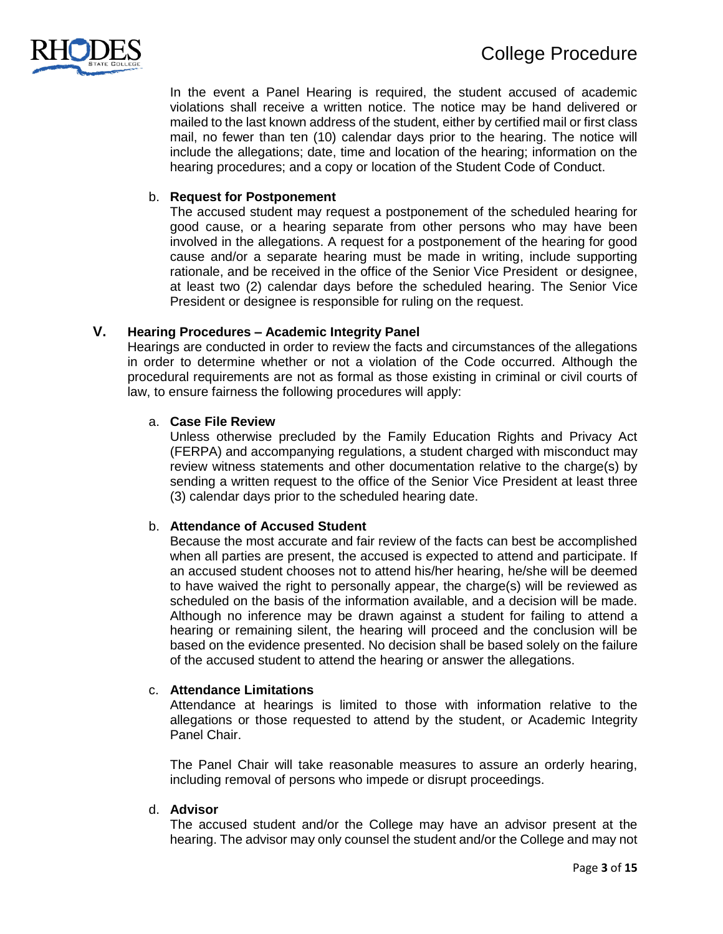

In the event a Panel Hearing is required, the student accused of academic violations shall receive a written notice. The notice may be hand delivered or mailed to the last known address of the student, either by certified mail or first class mail, no fewer than ten (10) calendar days prior to the hearing. The notice will include the allegations; date, time and location of the hearing; information on the hearing procedures; and a copy or location of the Student Code of Conduct.

## b. **Request for Postponement**

The accused student may request a postponement of the scheduled hearing for good cause, or a hearing separate from other persons who may have been involved in the allegations. A request for a postponement of the hearing for good cause and/or a separate hearing must be made in writing, include supporting rationale, and be received in the office of the Senior Vice President or designee, at least two (2) calendar days before the scheduled hearing. The Senior Vice President or designee is responsible for ruling on the request.

## **V. Hearing Procedures – Academic Integrity Panel**

Hearings are conducted in order to review the facts and circumstances of the allegations in order to determine whether or not a violation of the Code occurred. Although the procedural requirements are not as formal as those existing in criminal or civil courts of law, to ensure fairness the following procedures will apply:

#### a. **Case File Review**

Unless otherwise precluded by the Family Education Rights and Privacy Act (FERPA) and accompanying regulations, a student charged with misconduct may review witness statements and other documentation relative to the charge(s) by sending a written request to the office of the Senior Vice President at least three (3) calendar days prior to the scheduled hearing date.

#### b. **Attendance of Accused Student**

Because the most accurate and fair review of the facts can best be accomplished when all parties are present, the accused is expected to attend and participate. If an accused student chooses not to attend his/her hearing, he/she will be deemed to have waived the right to personally appear, the charge(s) will be reviewed as scheduled on the basis of the information available, and a decision will be made. Although no inference may be drawn against a student for failing to attend a hearing or remaining silent, the hearing will proceed and the conclusion will be based on the evidence presented. No decision shall be based solely on the failure of the accused student to attend the hearing or answer the allegations.

#### c. **Attendance Limitations**

Attendance at hearings is limited to those with information relative to the allegations or those requested to attend by the student, or Academic Integrity Panel Chair.

The Panel Chair will take reasonable measures to assure an orderly hearing, including removal of persons who impede or disrupt proceedings.

#### d. **Advisor**

The accused student and/or the College may have an advisor present at the hearing. The advisor may only counsel the student and/or the College and may not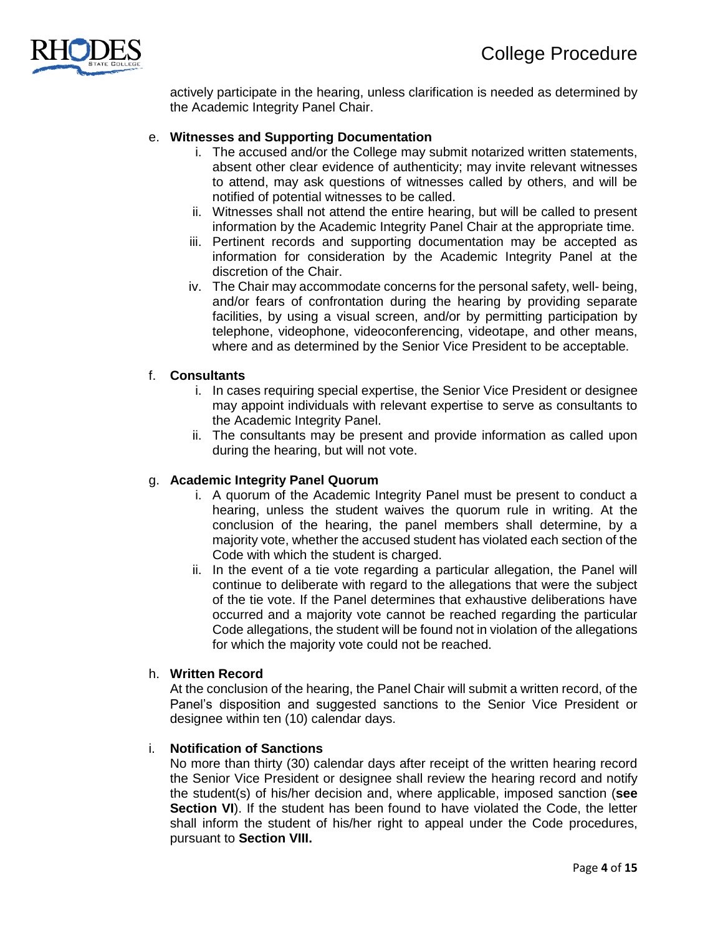

actively participate in the hearing, unless clarification is needed as determined by the Academic Integrity Panel Chair.

## e. **Witnesses and Supporting Documentation**

- i. The accused and/or the College may submit notarized written statements, absent other clear evidence of authenticity; may invite relevant witnesses to attend, may ask questions of witnesses called by others, and will be notified of potential witnesses to be called.
- ii. Witnesses shall not attend the entire hearing, but will be called to present information by the Academic Integrity Panel Chair at the appropriate time.
- iii. Pertinent records and supporting documentation may be accepted as information for consideration by the Academic Integrity Panel at the discretion of the Chair.
- iv. The Chair may accommodate concerns for the personal safety, well- being, and/or fears of confrontation during the hearing by providing separate facilities, by using a visual screen, and/or by permitting participation by telephone, videophone, videoconferencing, videotape, and other means, where and as determined by the Senior Vice President to be acceptable.

#### f. **Consultants**

- i. In cases requiring special expertise, the Senior Vice President or designee may appoint individuals with relevant expertise to serve as consultants to the Academic Integrity Panel.
- ii. The consultants may be present and provide information as called upon during the hearing, but will not vote.

#### g. **Academic Integrity Panel Quorum**

- i. A quorum of the Academic Integrity Panel must be present to conduct a hearing, unless the student waives the quorum rule in writing. At the conclusion of the hearing, the panel members shall determine, by a majority vote, whether the accused student has violated each section of the Code with which the student is charged.
- ii. In the event of a tie vote regarding a particular allegation, the Panel will continue to deliberate with regard to the allegations that were the subject of the tie vote. If the Panel determines that exhaustive deliberations have occurred and a majority vote cannot be reached regarding the particular Code allegations, the student will be found not in violation of the allegations for which the majority vote could not be reached.

## h. **Written Record**

At the conclusion of the hearing, the Panel Chair will submit a written record, of the Panel's disposition and suggested sanctions to the Senior Vice President or designee within ten (10) calendar days.

#### i. **Notification of Sanctions**

No more than thirty (30) calendar days after receipt of the written hearing record the Senior Vice President or designee shall review the hearing record and notify the student(s) of his/her decision and, where applicable, imposed sanction (**see Section VI**). If the student has been found to have violated the Code, the letter shall inform the student of his/her right to appeal under the Code procedures, pursuant to **Section VIII.**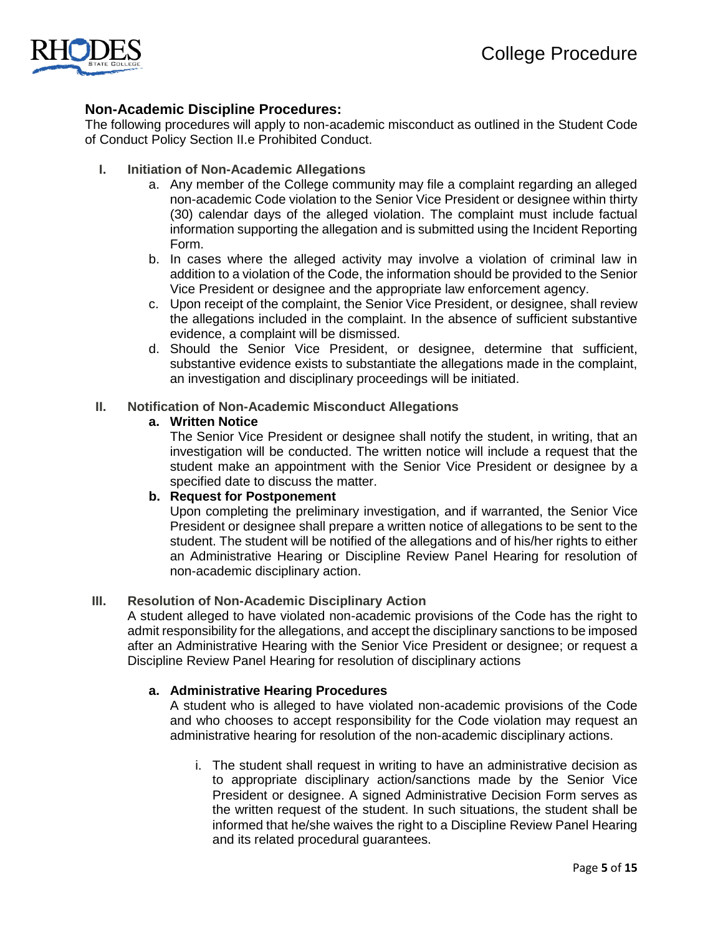

## **Non-Academic Discipline Procedures:**

The following procedures will apply to non-academic misconduct as outlined in the Student Code of Conduct Policy Section II.e Prohibited Conduct.

## **I. Initiation of Non-Academic Allegations**

- a. Any member of the College community may file a complaint regarding an alleged non-academic Code violation to the Senior Vice President or designee within thirty (30) calendar days of the alleged violation. The complaint must include factual information supporting the allegation and is submitted using the Incident Reporting Form.
- b. In cases where the alleged activity may involve a violation of criminal law in addition to a violation of the Code, the information should be provided to the Senior Vice President or designee and the appropriate law enforcement agency.
- c. Upon receipt of the complaint, the Senior Vice President, or designee, shall review the allegations included in the complaint. In the absence of sufficient substantive evidence, a complaint will be dismissed.
- d. Should the Senior Vice President, or designee, determine that sufficient, substantive evidence exists to substantiate the allegations made in the complaint, an investigation and disciplinary proceedings will be initiated.

#### **II. Notification of Non-Academic Misconduct Allegations**

## **a. Written Notice**

The Senior Vice President or designee shall notify the student, in writing, that an investigation will be conducted. The written notice will include a request that the student make an appointment with the Senior Vice President or designee by a specified date to discuss the matter.

#### **b. Request for Postponement**

Upon completing the preliminary investigation, and if warranted, the Senior Vice President or designee shall prepare a written notice of allegations to be sent to the student. The student will be notified of the allegations and of his/her rights to either an Administrative Hearing or Discipline Review Panel Hearing for resolution of non-academic disciplinary action.

#### **III. Resolution of Non-Academic Disciplinary Action**

A student alleged to have violated non-academic provisions of the Code has the right to admit responsibility for the allegations, and accept the disciplinary sanctions to be imposed after an Administrative Hearing with the Senior Vice President or designee; or request a Discipline Review Panel Hearing for resolution of disciplinary actions

#### **a. Administrative Hearing Procedures**

A student who is alleged to have violated non-academic provisions of the Code and who chooses to accept responsibility for the Code violation may request an administrative hearing for resolution of the non-academic disciplinary actions.

i. The student shall request in writing to have an administrative decision as to appropriate disciplinary action/sanctions made by the Senior Vice President or designee. A signed Administrative Decision Form serves as the written request of the student. In such situations, the student shall be informed that he/she waives the right to a Discipline Review Panel Hearing and its related procedural guarantees.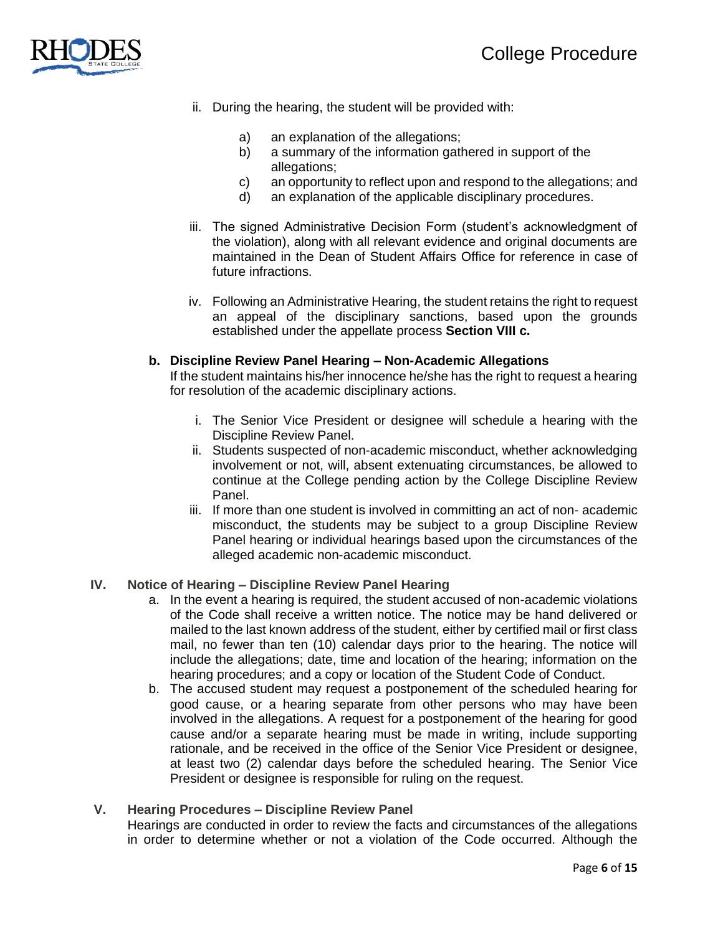

- ii. During the hearing, the student will be provided with:
	- a) an explanation of the allegations;
	- b) a summary of the information gathered in support of the allegations;
	- c) an opportunity to reflect upon and respond to the allegations; and
	- d) an explanation of the applicable disciplinary procedures.
- iii. The signed Administrative Decision Form (student's acknowledgment of the violation), along with all relevant evidence and original documents are maintained in the Dean of Student Affairs Office for reference in case of future infractions.
- iv. Following an Administrative Hearing, the student retains the right to request an appeal of the disciplinary sanctions, based upon the grounds established under the appellate process **Section VIII c.**

## **b. Discipline Review Panel Hearing – Non-Academic Allegations**

If the student maintains his/her innocence he/she has the right to request a hearing for resolution of the academic disciplinary actions.

- i. The Senior Vice President or designee will schedule a hearing with the Discipline Review Panel.
- ii. Students suspected of non-academic misconduct, whether acknowledging involvement or not, will, absent extenuating circumstances, be allowed to continue at the College pending action by the College Discipline Review Panel.
- iii. If more than one student is involved in committing an act of non- academic misconduct, the students may be subject to a group Discipline Review Panel hearing or individual hearings based upon the circumstances of the alleged academic non-academic misconduct.

## **IV. Notice of Hearing – Discipline Review Panel Hearing**

- a. In the event a hearing is required, the student accused of non-academic violations of the Code shall receive a written notice. The notice may be hand delivered or mailed to the last known address of the student, either by certified mail or first class mail, no fewer than ten (10) calendar days prior to the hearing. The notice will include the allegations; date, time and location of the hearing; information on the hearing procedures; and a copy or location of the Student Code of Conduct.
- b. The accused student may request a postponement of the scheduled hearing for good cause, or a hearing separate from other persons who may have been involved in the allegations. A request for a postponement of the hearing for good cause and/or a separate hearing must be made in writing, include supporting rationale, and be received in the office of the Senior Vice President or designee, at least two (2) calendar days before the scheduled hearing. The Senior Vice President or designee is responsible for ruling on the request.

#### **V. Hearing Procedures – Discipline Review Panel**

Hearings are conducted in order to review the facts and circumstances of the allegations in order to determine whether or not a violation of the Code occurred. Although the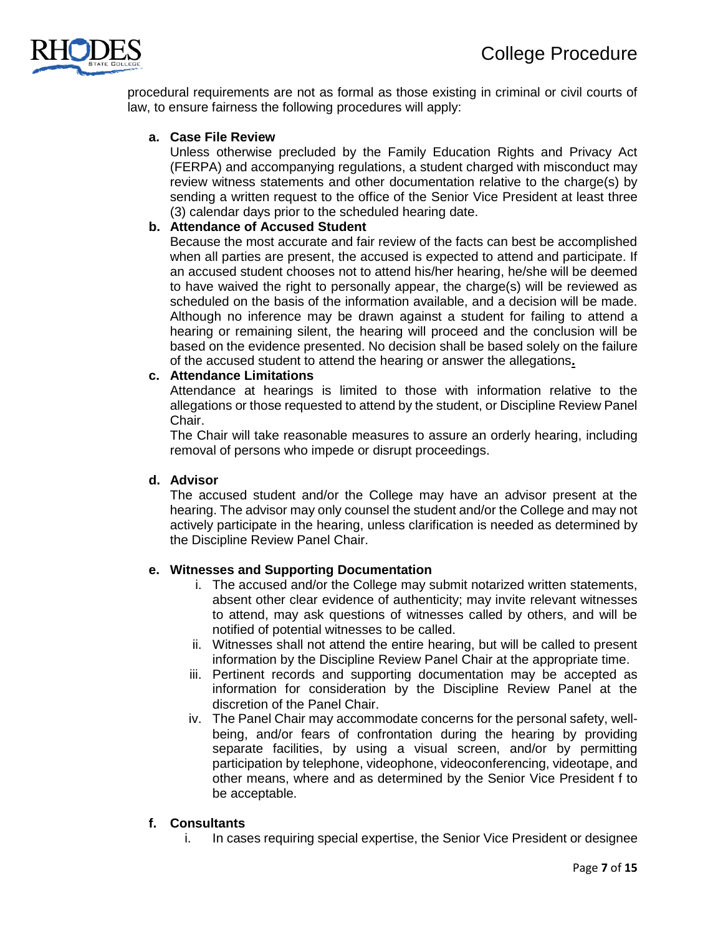

procedural requirements are not as formal as those existing in criminal or civil courts of law, to ensure fairness the following procedures will apply:

## **a. Case File Review**

Unless otherwise precluded by the Family Education Rights and Privacy Act (FERPA) and accompanying regulations, a student charged with misconduct may review witness statements and other documentation relative to the charge(s) by sending a written request to the office of the Senior Vice President at least three (3) calendar days prior to the scheduled hearing date.

## **b. Attendance of Accused Student**

Because the most accurate and fair review of the facts can best be accomplished when all parties are present, the accused is expected to attend and participate. If an accused student chooses not to attend his/her hearing, he/she will be deemed to have waived the right to personally appear, the charge(s) will be reviewed as scheduled on the basis of the information available, and a decision will be made. Although no inference may be drawn against a student for failing to attend a hearing or remaining silent, the hearing will proceed and the conclusion will be based on the evidence presented. No decision shall be based solely on the failure of the accused student to attend the hearing or answer the allegations**.**

## **c. Attendance Limitations**

Attendance at hearings is limited to those with information relative to the allegations or those requested to attend by the student, or Discipline Review Panel Chair.

The Chair will take reasonable measures to assure an orderly hearing, including removal of persons who impede or disrupt proceedings.

## **d. Advisor**

The accused student and/or the College may have an advisor present at the hearing. The advisor may only counsel the student and/or the College and may not actively participate in the hearing, unless clarification is needed as determined by the Discipline Review Panel Chair.

#### **e. Witnesses and Supporting Documentation**

- i. The accused and/or the College may submit notarized written statements, absent other clear evidence of authenticity; may invite relevant witnesses to attend, may ask questions of witnesses called by others, and will be notified of potential witnesses to be called.
- ii. Witnesses shall not attend the entire hearing, but will be called to present information by the Discipline Review Panel Chair at the appropriate time.
- iii. Pertinent records and supporting documentation may be accepted as information for consideration by the Discipline Review Panel at the discretion of the Panel Chair.
- iv. The Panel Chair may accommodate concerns for the personal safety, wellbeing, and/or fears of confrontation during the hearing by providing separate facilities, by using a visual screen, and/or by permitting participation by telephone, videophone, videoconferencing, videotape, and other means, where and as determined by the Senior Vice President f to be acceptable.

#### **f. Consultants**

i. In cases requiring special expertise, the Senior Vice President or designee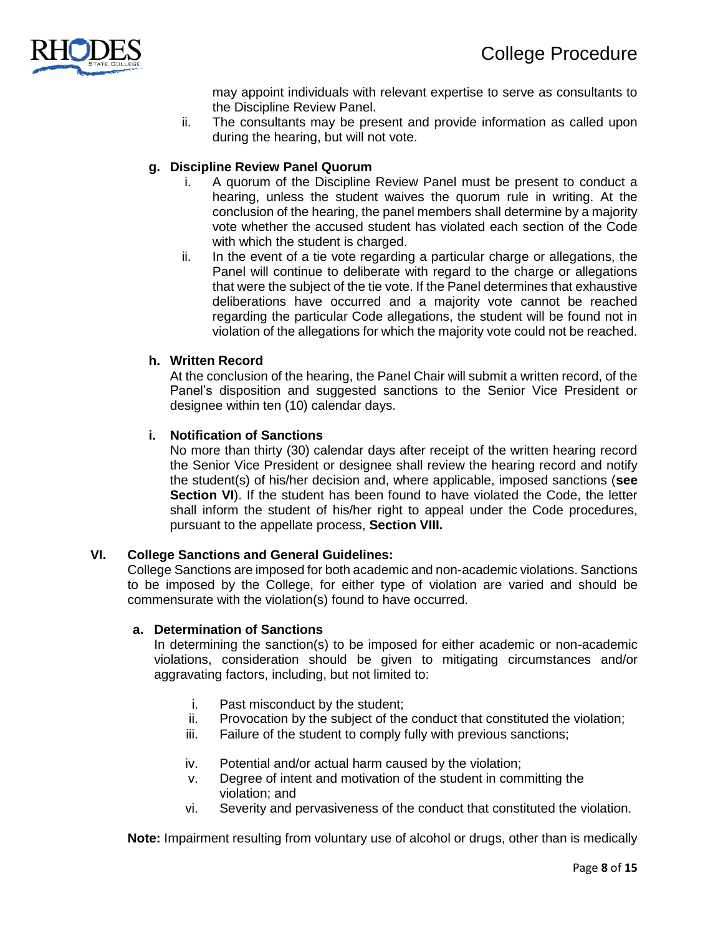

may appoint individuals with relevant expertise to serve as consultants to the Discipline Review Panel.

ii. The consultants may be present and provide information as called upon during the hearing, but will not vote.

## **g. Discipline Review Panel Quorum**

- i. A quorum of the Discipline Review Panel must be present to conduct a hearing, unless the student waives the quorum rule in writing. At the conclusion of the hearing, the panel members shall determine by a majority vote whether the accused student has violated each section of the Code with which the student is charged.
- ii. In the event of a tie vote regarding a particular charge or allegations, the Panel will continue to deliberate with regard to the charge or allegations that were the subject of the tie vote. If the Panel determines that exhaustive deliberations have occurred and a majority vote cannot be reached regarding the particular Code allegations, the student will be found not in violation of the allegations for which the majority vote could not be reached.

## **h. Written Record**

At the conclusion of the hearing, the Panel Chair will submit a written record, of the Panel's disposition and suggested sanctions to the Senior Vice President or designee within ten (10) calendar days.

## **i. Notification of Sanctions**

No more than thirty (30) calendar days after receipt of the written hearing record the Senior Vice President or designee shall review the hearing record and notify the student(s) of his/her decision and, where applicable, imposed sanctions (**see Section VI**). If the student has been found to have violated the Code, the letter shall inform the student of his/her right to appeal under the Code procedures, pursuant to the appellate process, **Section VIII.**

#### **VI. College Sanctions and General Guidelines:**

College Sanctions are imposed for both academic and non-academic violations. Sanctions to be imposed by the College, for either type of violation are varied and should be commensurate with the violation(s) found to have occurred.

#### **a. Determination of Sanctions**

In determining the sanction(s) to be imposed for either academic or non-academic violations, consideration should be given to mitigating circumstances and/or aggravating factors, including, but not limited to:

- i. Past misconduct by the student;
- ii. Provocation by the subject of the conduct that constituted the violation;
- iii. Failure of the student to comply fully with previous sanctions;
- iv. Potential and/or actual harm caused by the violation;
- v. Degree of intent and motivation of the student in committing the violation; and
- vi. Severity and pervasiveness of the conduct that constituted the violation.

**Note:** Impairment resulting from voluntary use of alcohol or drugs, other than is medically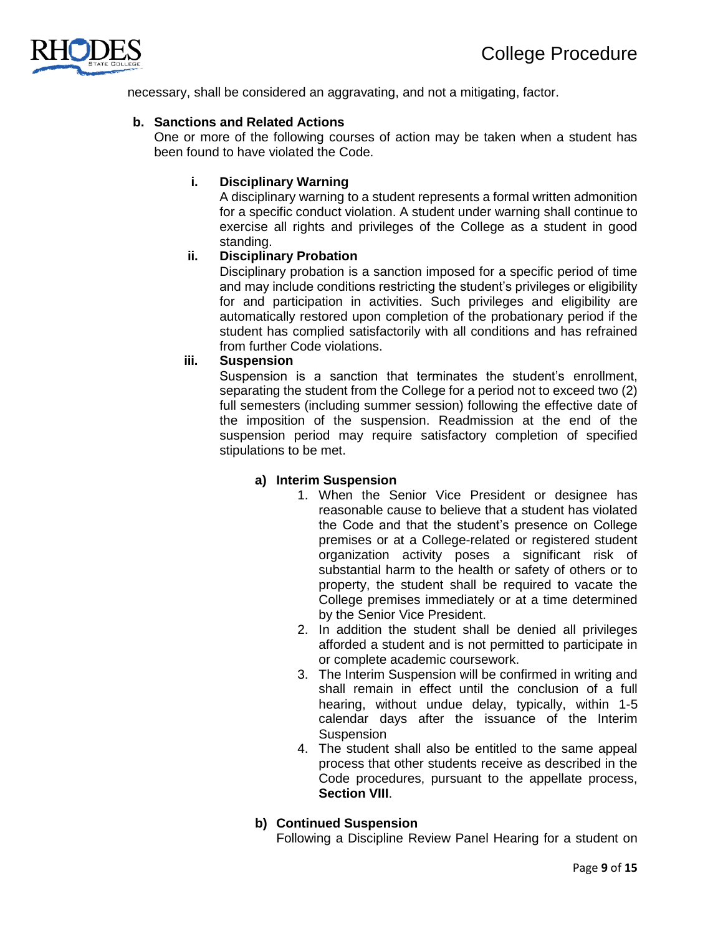

necessary, shall be considered an aggravating, and not a mitigating, factor.

## **b. Sanctions and Related Actions**

One or more of the following courses of action may be taken when a student has been found to have violated the Code.

## **i. Disciplinary Warning**

A disciplinary warning to a student represents a formal written admonition for a specific conduct violation. A student under warning shall continue to exercise all rights and privileges of the College as a student in good standing.

## **ii. Disciplinary Probation**

Disciplinary probation is a sanction imposed for a specific period of time and may include conditions restricting the student's privileges or eligibility for and participation in activities. Such privileges and eligibility are automatically restored upon completion of the probationary period if the student has complied satisfactorily with all conditions and has refrained from further Code violations.

## **iii. Suspension**

Suspension is a sanction that terminates the student's enrollment, separating the student from the College for a period not to exceed two (2) full semesters (including summer session) following the effective date of the imposition of the suspension. Readmission at the end of the suspension period may require satisfactory completion of specified stipulations to be met.

#### **a) Interim Suspension**

- 1. When the Senior Vice President or designee has reasonable cause to believe that a student has violated the Code and that the student's presence on College premises or at a College-related or registered student organization activity poses a significant risk of substantial harm to the health or safety of others or to property, the student shall be required to vacate the College premises immediately or at a time determined by the Senior Vice President.
- 2. In addition the student shall be denied all privileges afforded a student and is not permitted to participate in or complete academic coursework.
- 3. The Interim Suspension will be confirmed in writing and shall remain in effect until the conclusion of a full hearing, without undue delay, typically, within 1-5 calendar days after the issuance of the Interim **Suspension**
- 4. The student shall also be entitled to the same appeal process that other students receive as described in the Code procedures, pursuant to the appellate process, **Section VIII**.

## **b) Continued Suspension**

Following a Discipline Review Panel Hearing for a student on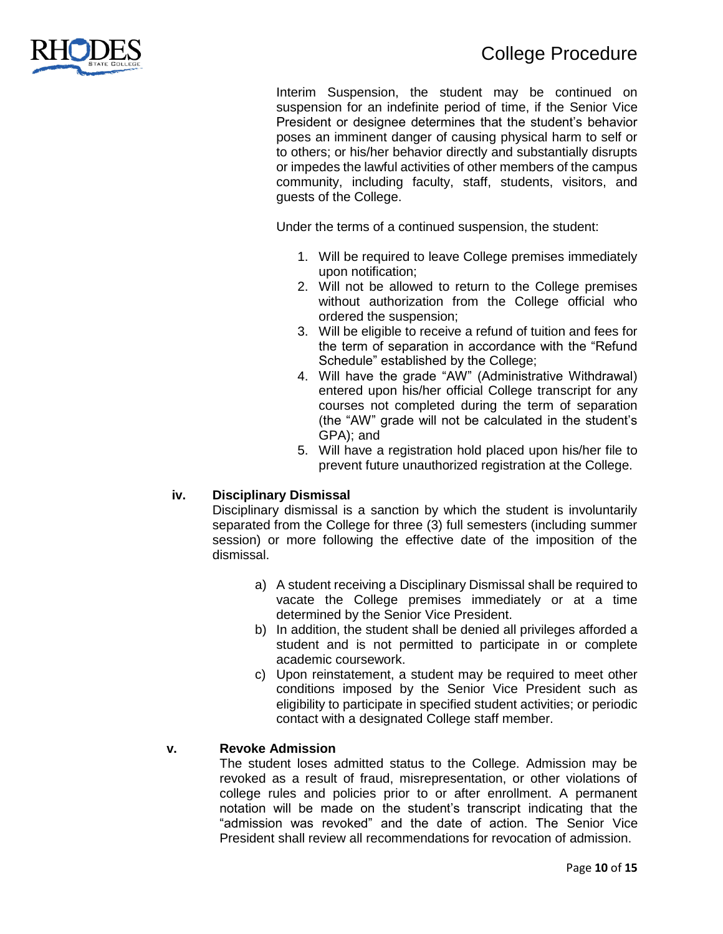Interim Suspension, the student may be continued on suspension for an indefinite period of time, if the Senior Vice President or designee determines that the student's behavior poses an imminent danger of causing physical harm to self or to others; or his/her behavior directly and substantially disrupts or impedes the lawful activities of other members of the campus community, including faculty, staff, students, visitors, and guests of the College.

Under the terms of a continued suspension, the student:

- 1. Will be required to leave College premises immediately upon notification;
- 2. Will not be allowed to return to the College premises without authorization from the College official who ordered the suspension;
- 3. Will be eligible to receive a refund of tuition and fees for the term of separation in accordance with the "Refund Schedule" established by the College;
- 4. Will have the grade "AW" (Administrative Withdrawal) entered upon his/her official College transcript for any courses not completed during the term of separation (the "AW" grade will not be calculated in the student's GPA); and
- 5. Will have a registration hold placed upon his/her file to prevent future unauthorized registration at the College.

## **iv. Disciplinary Dismissal**

Disciplinary dismissal is a sanction by which the student is involuntarily separated from the College for three (3) full semesters (including summer session) or more following the effective date of the imposition of the dismissal.

- a) A student receiving a Disciplinary Dismissal shall be required to vacate the College premises immediately or at a time determined by the Senior Vice President.
- b) In addition, the student shall be denied all privileges afforded a student and is not permitted to participate in or complete academic coursework.
- c) Upon reinstatement, a student may be required to meet other conditions imposed by the Senior Vice President such as eligibility to participate in specified student activities; or periodic contact with a designated College staff member.

## **v. Revoke Admission**

The student loses admitted status to the College. Admission may be revoked as a result of fraud, misrepresentation, or other violations of college rules and policies prior to or after enrollment. A permanent notation will be made on the student's transcript indicating that the "admission was revoked" and the date of action. The Senior Vice President shall review all recommendations for revocation of admission.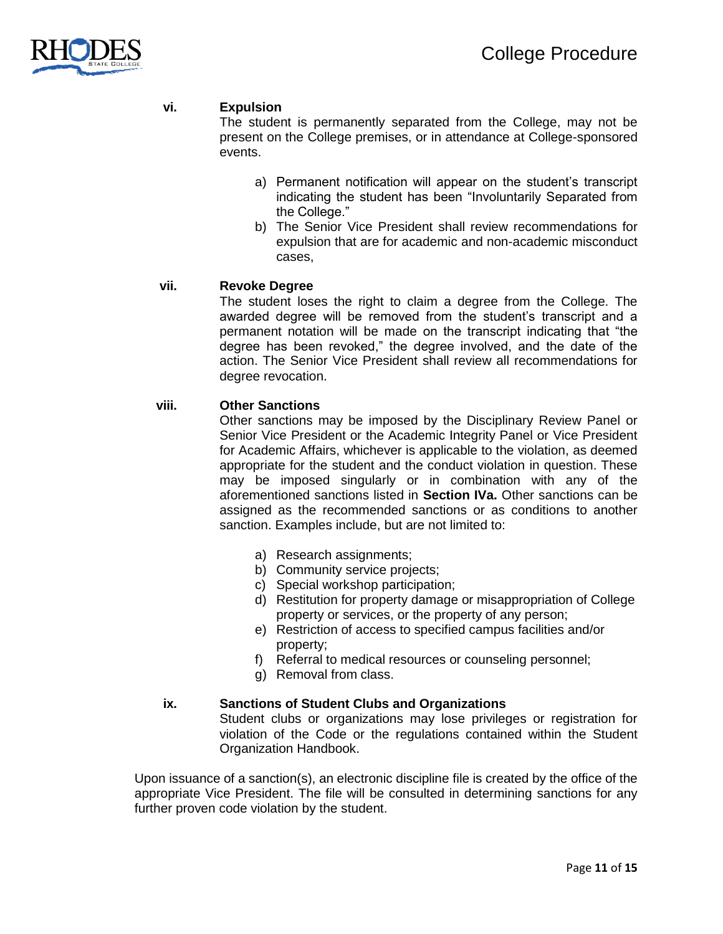

## **vi. Expulsion**

The student is permanently separated from the College, may not be present on the College premises, or in attendance at College-sponsored events.

- a) Permanent notification will appear on the student's transcript indicating the student has been "Involuntarily Separated from the College."
- b) The Senior Vice President shall review recommendations for expulsion that are for academic and non-academic misconduct cases,

#### **vii. Revoke Degree**

The student loses the right to claim a degree from the College. The awarded degree will be removed from the student's transcript and a permanent notation will be made on the transcript indicating that "the degree has been revoked," the degree involved, and the date of the action. The Senior Vice President shall review all recommendations for degree revocation.

#### **viii. Other Sanctions**

Other sanctions may be imposed by the Disciplinary Review Panel or Senior Vice President or the Academic Integrity Panel or Vice President for Academic Affairs, whichever is applicable to the violation, as deemed appropriate for the student and the conduct violation in question. These may be imposed singularly or in combination with any of the aforementioned sanctions listed in **Section IVa.** Other sanctions can be assigned as the recommended sanctions or as conditions to another sanction. Examples include, but are not limited to:

- a) Research assignments;
- b) Community service projects;
- c) Special workshop participation;
- d) Restitution for property damage or misappropriation of College property or services, or the property of any person;
- e) Restriction of access to specified campus facilities and/or property;
- f) Referral to medical resources or counseling personnel;
- g) Removal from class.

#### **ix. Sanctions of Student Clubs and Organizations**

Student clubs or organizations may lose privileges or registration for violation of the Code or the regulations contained within the Student Organization Handbook.

Upon issuance of a sanction(s), an electronic discipline file is created by the office of the appropriate Vice President. The file will be consulted in determining sanctions for any further proven code violation by the student.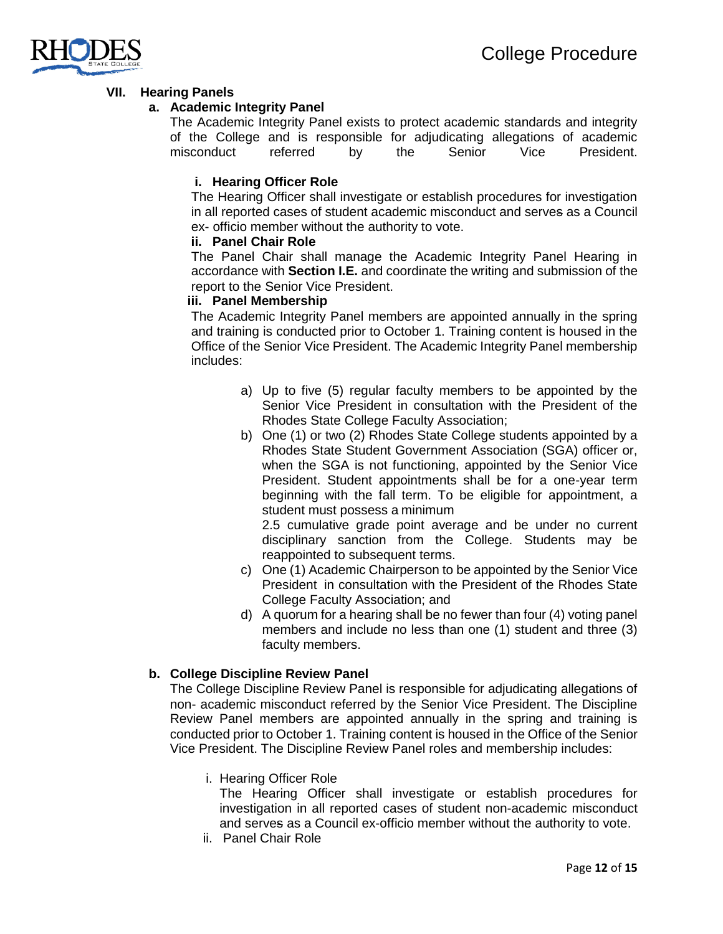

## **VII. Hearing Panels**

## **a. Academic Integrity Panel**

The Academic Integrity Panel exists to protect academic standards and integrity of the College and is responsible for adjudicating allegations of academic misconduct referred by the Senior Vice President.

## **i. Hearing Officer Role**

The Hearing Officer shall investigate or establish procedures for investigation in all reported cases of student academic misconduct and serves as a Council ex- officio member without the authority to vote.

### **ii. Panel Chair Role**

The Panel Chair shall manage the Academic Integrity Panel Hearing in accordance with **Section I.E.** and coordinate the writing and submission of the report to the Senior Vice President.

## **iii. Panel Membership**

The Academic Integrity Panel members are appointed annually in the spring and training is conducted prior to October 1. Training content is housed in the Office of the Senior Vice President. The Academic Integrity Panel membership includes:

- a) Up to five (5) regular faculty members to be appointed by the Senior Vice President in consultation with the President of the Rhodes State College Faculty Association;
- b) One (1) or two (2) Rhodes State College students appointed by a Rhodes State Student Government Association (SGA) officer or, when the SGA is not functioning, appointed by the Senior Vice President. Student appointments shall be for a one-year term beginning with the fall term. To be eligible for appointment, a student must possess a minimum

2.5 cumulative grade point average and be under no current disciplinary sanction from the College. Students may be reappointed to subsequent terms.

- c) One (1) Academic Chairperson to be appointed by the Senior Vice President in consultation with the President of the Rhodes State College Faculty Association; and
- d) A quorum for a hearing shall be no fewer than four (4) voting panel members and include no less than one (1) student and three (3) faculty members.

## **b. College Discipline Review Panel**

The College Discipline Review Panel is responsible for adjudicating allegations of non- academic misconduct referred by the Senior Vice President. The Discipline Review Panel members are appointed annually in the spring and training is conducted prior to October 1. Training content is housed in the Office of the Senior Vice President. The Discipline Review Panel roles and membership includes:

i. Hearing Officer Role

The Hearing Officer shall investigate or establish procedures for investigation in all reported cases of student non-academic misconduct and serves as a Council ex-officio member without the authority to vote.

ii. Panel Chair Role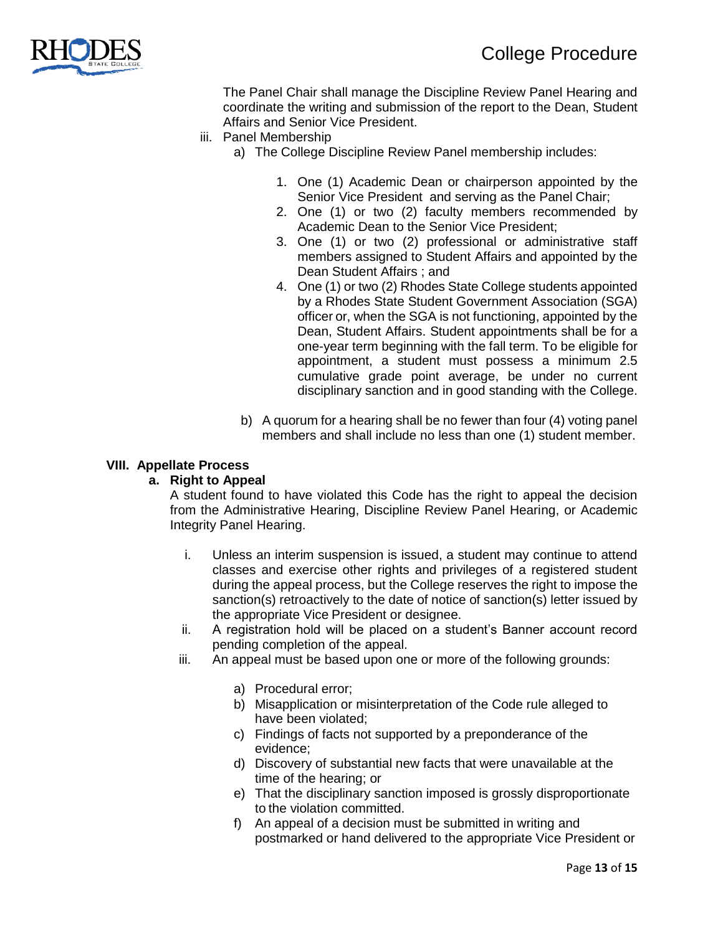

The Panel Chair shall manage the Discipline Review Panel Hearing and coordinate the writing and submission of the report to the Dean, Student Affairs and Senior Vice President.

- iii. Panel Membership
	- a) The College Discipline Review Panel membership includes:
		- 1. One (1) Academic Dean or chairperson appointed by the Senior Vice President and serving as the Panel Chair;
		- 2. One (1) or two (2) faculty members recommended by Academic Dean to the Senior Vice President;
		- 3. One (1) or two (2) professional or administrative staff members assigned to Student Affairs and appointed by the Dean Student Affairs ; and
		- 4. One (1) or two (2) Rhodes State College students appointed by a Rhodes State Student Government Association (SGA) officer or, when the SGA is not functioning, appointed by the Dean, Student Affairs. Student appointments shall be for a one-year term beginning with the fall term. To be eligible for appointment, a student must possess a minimum 2.5 cumulative grade point average, be under no current disciplinary sanction and in good standing with the College.
	- b) A quorum for a hearing shall be no fewer than four (4) voting panel members and shall include no less than one (1) student member.

#### **VIII. Appellate Process**

## **a. Right to Appeal**

A student found to have violated this Code has the right to appeal the decision from the Administrative Hearing, Discipline Review Panel Hearing, or Academic Integrity Panel Hearing.

- i. Unless an interim suspension is issued, a student may continue to attend classes and exercise other rights and privileges of a registered student during the appeal process, but the College reserves the right to impose the sanction(s) retroactively to the date of notice of sanction(s) letter issued by the appropriate Vice President or designee.
- ii. A registration hold will be placed on a student's Banner account record pending completion of the appeal.
- iii. An appeal must be based upon one or more of the following grounds:
	- a) Procedural error;
	- b) Misapplication or misinterpretation of the Code rule alleged to have been violated;
	- c) Findings of facts not supported by a preponderance of the evidence;
	- d) Discovery of substantial new facts that were unavailable at the time of the hearing; or
	- e) That the disciplinary sanction imposed is grossly disproportionate to the violation committed.
	- f) An appeal of a decision must be submitted in writing and postmarked or hand delivered to the appropriate Vice President or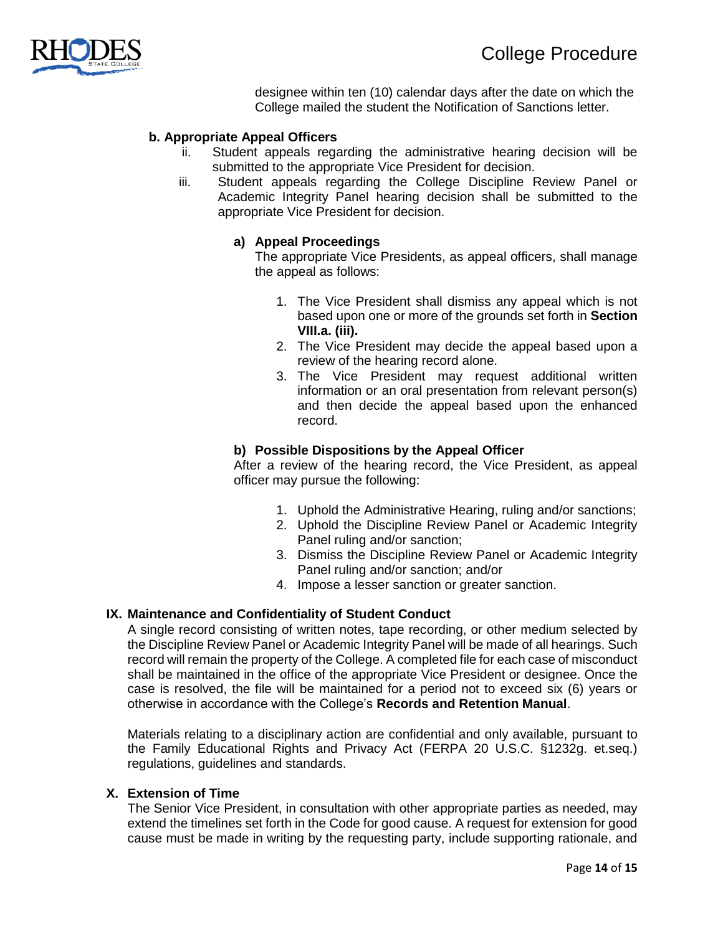

designee within ten (10) calendar days after the date on which the College mailed the student the Notification of Sanctions letter.

## **b. Appropriate Appeal Officers**

- ii. Student appeals regarding the administrative hearing decision will be submitted to the appropriate Vice President for decision.
- iii. Student appeals regarding the College Discipline Review Panel or Academic Integrity Panel hearing decision shall be submitted to the appropriate Vice President for decision.

#### **a) Appeal Proceedings**

The appropriate Vice Presidents, as appeal officers, shall manage the appeal as follows:

- 1. The Vice President shall dismiss any appeal which is not based upon one or more of the grounds set forth in **Section VIII.a. (iii).**
- 2. The Vice President may decide the appeal based upon a review of the hearing record alone.
- 3. The Vice President may request additional written information or an oral presentation from relevant person(s) and then decide the appeal based upon the enhanced record.

#### **b) Possible Dispositions by the Appeal Officer**

After a review of the hearing record, the Vice President, as appeal officer may pursue the following:

- 1. Uphold the Administrative Hearing, ruling and/or sanctions;
- 2. Uphold the Discipline Review Panel or Academic Integrity Panel ruling and/or sanction;
- 3. Dismiss the Discipline Review Panel or Academic Integrity Panel ruling and/or sanction; and/or
- 4. Impose a lesser sanction or greater sanction.

#### **IX. Maintenance and Confidentiality of Student Conduct**

A single record consisting of written notes, tape recording, or other medium selected by the Discipline Review Panel or Academic Integrity Panel will be made of all hearings. Such record will remain the property of the College. A completed file for each case of misconduct shall be maintained in the office of the appropriate Vice President or designee. Once the case is resolved, the file will be maintained for a period not to exceed six (6) years or otherwise in accordance with the College's **Records and Retention Manual**.

Materials relating to a disciplinary action are confidential and only available, pursuant to the Family Educational Rights and Privacy Act (FERPA 20 U.S.C. §1232g. et.seq.) regulations, guidelines and standards.

## **X. Extension of Time**

The Senior Vice President, in consultation with other appropriate parties as needed, may extend the timelines set forth in the Code for good cause. A request for extension for good cause must be made in writing by the requesting party, include supporting rationale, and